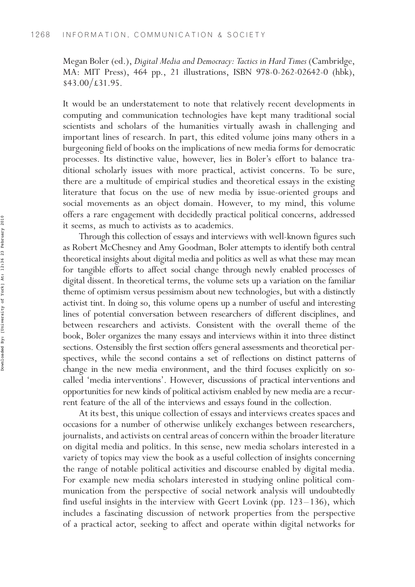Megan Boler (ed.), Digital Media and Democracy: Tactics in Hard Times (Cambridge, MA: MIT Press), 464 pp., 21 illustrations, ISBN 978-0-262-02642-0 (hbk),  $$43.00/\text{\textsterling}31.95.$ 

It would be an understatement to note that relatively recent developments in computing and communication technologies have kept many traditional social scientists and scholars of the humanities virtually awash in challenging and important lines of research. In part, this edited volume joins many others in a burgeoning field of books on the implications of new media forms for democratic processes. Its distinctive value, however, lies in Boler's effort to balance traditional scholarly issues with more practical, activist concerns. To be sure, there are a multitude of empirical studies and theoretical essays in the existing literature that focus on the use of new media by issue-oriented groups and social movements as an object domain. However, to my mind, this volume offers a rare engagement with decidedly practical political concerns, addressed it seems, as much to activists as to academics.

Through this collection of essays and interviews with well-known figures such as Robert McChesney and Amy Goodman, Boler attempts to identify both central theoretical insights about digital media and politics as well as what these may mean for tangible efforts to affect social change through newly enabled processes of digital dissent. In theoretical terms, the volume sets up a variation on the familiar theme of optimism versus pessimism about new technologies, but with a distinctly activist tint. In doing so, this volume opens up a number of useful and interesting lines of potential conversation between researchers of different disciplines, and between researchers and activists. Consistent with the overall theme of the book, Boler organizes the many essays and interviews within it into three distinct sections. Ostensibly the first section offers general assessments and theoretical perspectives, while the second contains a set of reflections on distinct patterns of change in the new media environment, and the third focuses explicitly on socalled 'media interventions'. However, discussions of practical interventions and opportunities for new kinds of political activism enabled by new media are a recurrent feature of the all of the interviews and essays found in the collection.

At its best, this unique collection of essays and interviews creates spaces and occasions for a number of otherwise unlikely exchanges between researchers, journalists, and activists on central areas of concern within the broader literature on digital media and politics. In this sense, new media scholars interested in a variety of topics may view the book as a useful collection of insights concerning the range of notable political activities and discourse enabled by digital media. For example new media scholars interested in studying online political communication from the perspective of social network analysis will undoubtedly find useful insights in the interview with Geert Lovink (pp.  $123-136$ ), which includes a fascinating discussion of network properties from the perspective of a practical actor, seeking to affect and operate within digital networks for